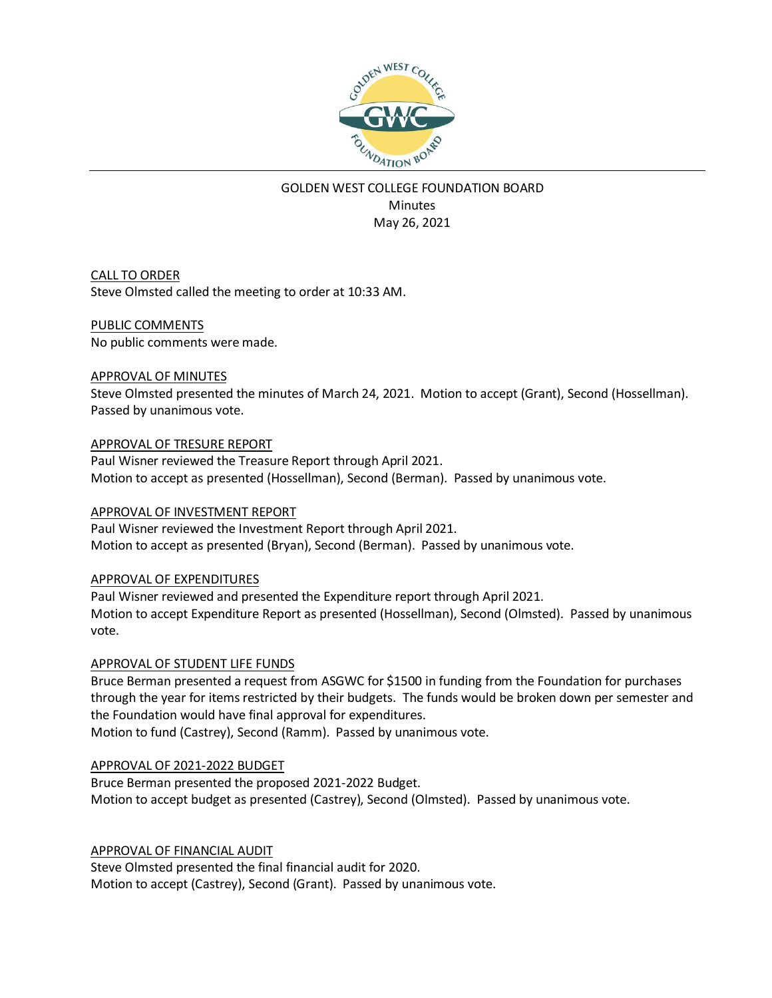

# GOLDEN WEST COLLEGE FOUNDATION BOARD **Minutes** May 26, 2021

CALL TO ORDER Steve Olmsted called the meeting to order at 10:33 AM.

#### PUBLIC COMMENTS

No public comments were made.

#### APPROVAL OF MINUTES

Steve Olmsted presented the minutes of March 24, 2021. Motion to accept (Grant), Second (Hossellman). Passed by unanimous vote.

#### APPROVAL OF TRESURE REPORT

Paul Wisner reviewed the Treasure Report through April 2021. Motion to accept as presented (Hossellman), Second (Berman). Passed by unanimous vote.

#### APPROVAL OF INVESTMENT REPORT

Paul Wisner reviewed the Investment Report through April 2021. Motion to accept as presented (Bryan), Second (Berman). Passed by unanimous vote.

#### APPROVAL OF EXPENDITURES

Paul Wisner reviewed and presented the Expenditure report through April 2021. Motion to accept Expenditure Report as presented (Hossellman), Second (Olmsted). Passed by unanimous vote.

#### APPROVAL OF STUDENT LIFE FUNDS

Bruce Berman presented a request from ASGWC for \$1500 in funding from the Foundation for purchases through the year for items restricted by their budgets. The funds would be broken down per semester and the Foundation would have final approval for expenditures.

Motion to fund (Castrey), Second (Ramm). Passed by unanimous vote.

#### APPROVAL OF 2021-2022 BUDGET

Bruce Berman presented the proposed 2021-2022 Budget. Motion to accept budget as presented (Castrey), Second (Olmsted). Passed by unanimous vote.

#### APPROVAL OF FINANCIAL AUDIT

Steve Olmsted presented the final financial audit for 2020. Motion to accept (Castrey), Second (Grant). Passed by unanimous vote.